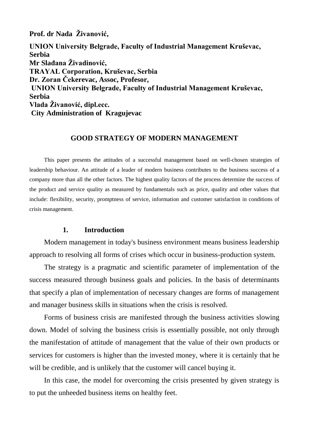**Prof. dr Nada Živanović,** 

**UNION University Belgrade, Faculty of Industrial Management Kruševac, Serbia Mr Slađana Živadinović, TRAYAL Corporation, Kruševac, Serbia Dr. Zoran Čekerevac, Assoc, Profesor, UNION University Belgrade, Faculty of Industrial Management Kruševac, Serbia Vlada Živanović, dipl.ecc. City Administration of Kragujevac**

#### **GOOD STRATEGY OF MODERN MANAGEMENT**

This paper presents the attitudes of a successful management based on well-chosen strategies of leadership behaviour. An attitude of a leader of modern business contributes to the business success of a company more than all the other factors. The highest quality factors of the process determine the success of the product and service quality as measured by fundamentals such as price, quality and other values that include: flexibility, security, promptness of service, information and customer satisfaction in conditions of crisis management.

#### **1. Introduction**

Modern management in today's business environment means business leadership approach to resolving all forms of crises which occur in business-production system.

The strategy is a pragmatic and scientific parameter of implementation of the success measured through business goals and policies. In the basis of determinants that specify a plan of implementation of necessary changes are forms of management and manager business skills in situations when the crisis is resolved.

Forms of business crisis are manifested through the business activities slowing down. Model of solving the business crisis is essentially possible, not only through the manifestation of attitude of management that the value of their own products or services for customers is higher than the invested money, where it is certainly that he will be credible, and is unlikely that the customer will cancel buying it.

In this case, the model for overcoming the crisis presented by given strategy is to put the unheeded business items on healthy feet.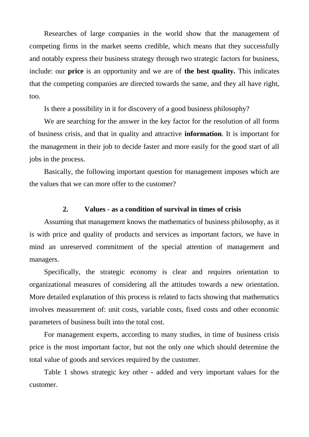Researches of large companies in the world show that the management of competing firms in the market seems credible, which means that they successfully and notably express their business strategy through two strategic factors for business, include: our **price** is an opportunity and we are of **the best quality.** This indicates that the competing companies are directed towards the same, and they all have right, too.

Is there a possibility in it for discovery of a good business philosophy?

We are searching for the answer in the key factor for the resolution of all forms of business crisis, and that in quality and attractive **information**. It is important for the management in their job to decide faster and more easily for the good start of all jobs in the process.

Basically, the following important question for management imposes which are the values that we can more offer to the customer?

### **2. Values - as a condition of survival in times of crisis**

Assuming that management knows the mathematics of business philosophy, as it is with price and quality of products and services as important factors, we have in mind an unreserved commitment of the special attention of management and managers.

Specifically, the strategic economy is clear and requires orientation to organizational measures of considering all the attitudes towards a new orientation. More detailed explanation of this process is related to facts showing that mathematics involves measurement of: unit costs, variable costs, fixed costs and other economic parameters of business built into the total cost.

For management experts, according to many studies, in time of business crisis price is the most important factor, but not the only one which should determine the total value of goods and services required by the customer.

Table 1 shows strategic key other - added and very important values for the customer.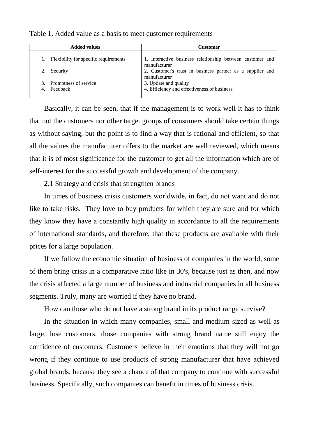| <b>Added values</b>                   | Customer                                                                  |
|---------------------------------------|---------------------------------------------------------------------------|
| Flexibility for specific requirements | 1. Interactive business relationship between customer and<br>manufacturer |
| Security                              | 2. Customer's trust in business partner as a supplier and<br>manufacturer |
| Promptness of service<br>Feedback     | 3. Update and quality<br>4. Efficiency and effectiveness of business      |

Table 1. Added value as a basis to meet customer requirements

Basically, it can be seen, that if the management is to work well it has to think that not the customers nor other target groups of consumers should take certain things as without saying, but the point is to find a way that is rational and efficient, so that all the values the manufacturer offers to the market are well reviewed, which means that it is of most significance for the customer to get all the information which are of self-interest for the successful growth and development of the company.

2.1 Strategy and crisis that strengthen brands

In times of business crisis customers worldwide, in fact, do not want and do not like to take risks. They love to buy products for which they are sure and for which they know they have a constantly high quality in accordance to all the requirements of international standards, and therefore, that these products are available with their prices for a large population.

If we follow the economic situation of business of companies in the world, some of them bring crisis in a comparative ratio like in 30's, because just as then, and now the crisis affected a large number of business and industrial companies in all business segments. Truly, many are worried if they have no brand.

How can those who do not have a strong brand in its product range survive?

In the situation in which many companies, small and medium-sized as well as large, lose customers, those companies with strong brand name still enjoy the confidence of customers. Customers believe in their emotions that they will not go wrong if they continue to use products of strong manufacturer that have achieved global brands, because they see a chance of that company to continue with successful business. Specifically, such companies can benefit in times of business crisis.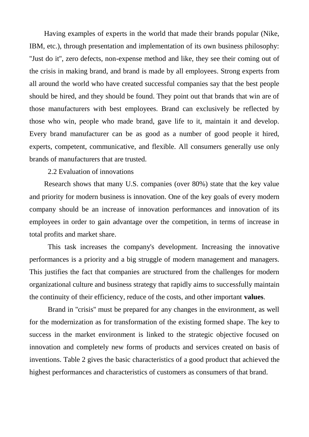Having examples of experts in the world that made their brands popular (Nike, IBM, etc.), through presentation and implementation of its own business philosophy: ''Just do it'', zero defects, non-expense method and like, they see their coming out of the crisis in making brand, and brand is made by all employees. Strong experts from all around the world who have created successful companies say that the best people should be hired, and they should be found. They point out that brands that win are of those manufacturers with best employees. Brand can exclusively be reflected by those who win, people who made brand, gave life to it, maintain it and develop. Every brand manufacturer can be as good as a number of good people it hired, experts, competent, communicative, and flexible. All consumers generally use only brands of manufacturers that are trusted.

2.2 Evaluation of innovations

Research shows that many U.S. companies (over 80%) state that the key value and priority for modern business is innovation. One of the key goals of every modern company should be an increase of innovation performances and innovation of its employees in order to gain advantage over the competition, in terms of increase in total profits and market share.

This task increases the company's development. Increasing the innovative performances is a priority and a big struggle of modern management and managers. This justifies the fact that companies are structured from the challenges for modern organizational culture and business strategy that rapidly aims to successfully maintain the continuity of their efficiency, reduce of the costs, and other important **values**.

Brand in ''crisis'' must be prepared for any changes in the environment, as well for the modernization as for transformation of the existing formed shape. The key to success in the market environment is linked to the strategic objective focused on innovation and completely new forms of products and services created on basis of inventions. Table 2 gives the basic characteristics of a good product that achieved the highest performances and characteristics of customers as consumers of that brand.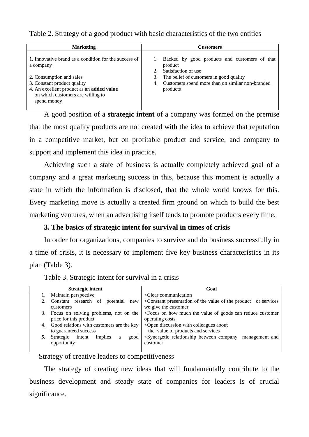Table 2. Strategy of a good product with basic characteristics of the two entities

| <b>Marketing</b>                                                                                                             | <b>Customers</b>                                                                |
|------------------------------------------------------------------------------------------------------------------------------|---------------------------------------------------------------------------------|
| 1. Innovative brand as a condition for the success of<br>a company                                                           | Backed by good products and customers of that<br>product<br>Satisfaction of use |
| 2. Consumption and sales                                                                                                     | The belief of customers in good quality<br>3.                                   |
| 3. Constant product quality<br>4. An excellent product as an added value<br>on which customers are willing to<br>spend money | Customers spend more than on similar non-branded<br>4.<br>products              |

A good position of a **strategic intent** of a company was formed on the premise that the most quality products are not created with the idea to achieve that reputation in a competitive market, but on profitable product and service, and company to support and implement this idea in practice.

Achieving such a state of business is actually completely achieved goal of a company and a great marketing success in this, because this moment is actually a state in which the information is disclosed, that the whole world knows for this. Every marketing move is actually a created firm ground on which to build the best marketing ventures, when an advertising itself tends to promote products every time.

# **3. The basics of strategic intent for survival in times of crisis**

In order for organizations, companies to survive and do business successfully in a time of crisis, it is necessary to implement five key business characteristics in its plan (Table 3).

| <b>Strategic intent</b>                         | Goal                                                                                                    |
|-------------------------------------------------|---------------------------------------------------------------------------------------------------------|
| Maintain perspective                            | <clear communication<="" th=""></clear>                                                                 |
| Constant research of<br>potential<br>new        | <constant of="" or="" presentation="" product="" services<="" th="" the="" value=""></constant>         |
| customers                                       | we give the customer                                                                                    |
| Focus on solving problems, not on the<br>3.     | <focus can="" customer<="" goods="" how="" much="" of="" on="" reduce="" th="" the="" value=""></focus> |
| price for this product                          | operating costs                                                                                         |
| Good relations with customers are the key<br>4. | <open about<="" colleagues="" discussion="" th="" with=""></open>                                       |
| to guaranteed success                           | the value of products and services                                                                      |
| intent<br>Strategic<br>implies<br>good<br>a     | <synergetic between="" company<br="" relationship="">management and</synergetic>                        |
| opportunity                                     | customer                                                                                                |
|                                                 |                                                                                                         |

Table 3. Strategic intent for survival in a crisis

Strategy of creative leaders to competitiveness

The strategy of creating new ideas that will fundamentally contribute to the business development and steady state of companies for leaders is of crucial significance.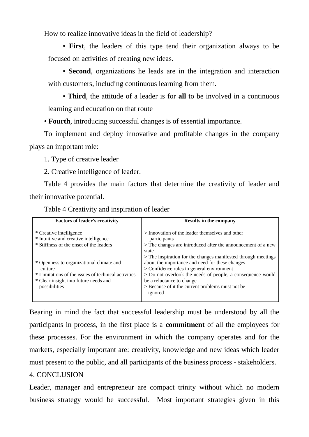How to realize innovative ideas in the field of leadership?

• **First**, the leaders of this type tend their organization always to be focused on activities of creating new ideas.

• **Second**, organizations he leads are in the integration and interaction with customers, including continuous learning from them.

• **Third**, the attitude of a leader is for **all** to be involved in a continuous learning and education on that route

• **Fourth**, introducing successful changes is of essential importance.

To implement and deploy innovative and profitable changes in the company plays an important role:

1. Type of creative leader

2. Creative intelligence of leader.

Table 4 provides the main factors that determine the creativity of leader and their innovative potential.

Table 4 Creativity and inspiration of leader

| <b>Factors of leader's creativity</b>                                                                                                                                | <b>Results in the company</b>                                                                                                                                                                                                                            |
|----------------------------------------------------------------------------------------------------------------------------------------------------------------------|----------------------------------------------------------------------------------------------------------------------------------------------------------------------------------------------------------------------------------------------------------|
| * Creative intelligence<br>* Intuitive and creative intelligence<br>* Stiffness of the onset of the leaders                                                          | > Innovation of the leader themselves and other<br>participants<br>> The changes are introduced after the announcement of a new<br>state<br>> The inspiration for the changes manifested through meetings                                                |
| * Openness to organizational climate and<br>culture<br>* Limitations of the issues of technical activities<br>* Clear insight into future needs and<br>possibilities | about the importance and need for these changes<br>$>$ Confidence rules in general environment<br>> Do not overlook the needs of people, a consequence would<br>be a reluctance to change<br>> Because of it the current problems must not be<br>ignored |

Bearing in mind the fact that successful leadership must be understood by all the participants in process, in the first place is a **commitment** of all the employees for these processes. For the environment in which the company operates and for the markets, especially important are: creativity, knowledge and new ideas which leader must present to the public, and all participants of the business process - stakeholders.

# 4. CONCLUSION

Leader, manager and entrepreneur are compact trinity without which no modern business strategy would be successful. Most important strategies given in this